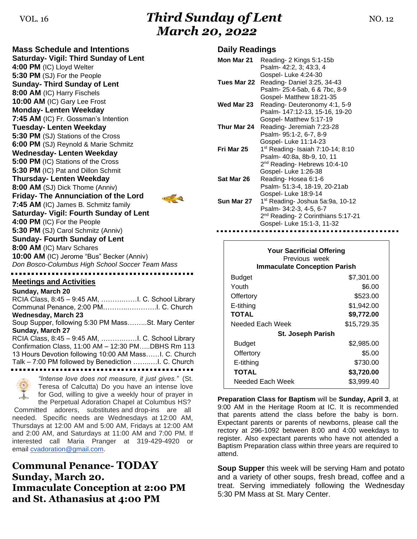# VOL. 16 **Third Sunday of Lent NO. 12** *March 20, 2022*

**Mass Schedule and Intentions Saturday- Vigil: Third Sunday of Lent 4:00 PM** (IC) Lloyd Welter **5:30 PM** (SJ) For the People **Sunday- Third Sunday of Lent 8:00 AM** (IC) Harry Fischels **10:00 AM** (IC) Gary Lee Frost **Monday- Lenten Weekday 7:45 AM** (IC) Fr. Gossman's Intention **Tuesday- Lenten Weekday 5:30 PM** (SJ) Stations of the Cross **6:00 PM** (SJ) Reynold & Marie Schmitz **Wednesday- Lenten Weekday 5:00 PM** (IC) Stations of the Cross **5:30 PM** (IC) Pat and Dillon Schmit **Thursday- Lenten Weekday 8:00 AM** (SJ) Dick Thome (Anniv) **Friday- The Annunciation of the Lord**  $\Box$ **7:45 AM** (IC) James B. Schmitz family **Saturday- Vigil: Fourth Sunday of Lent 4:00 PM** (IC) For the People **5:30 PM** (SJ) Carol Schmitz (Anniv) **Sunday- Fourth Sunday of Lent 8:00 AM** (IC) Marv Schares **10:00 AM** (IC) Jerome "Bus" Becker (Anniv) *Don Bosco-Columbus High School Soccer Team Mass*

**Meetings and Activities**

**Sunday, March 20** RCIA Class, 8:45 – 9:45 AM, ……….……I. C. School Library Communal Penance, 2:00 PM………..………….I. C. Church **Wednesday, March 23** Soup Supper, following 5:30 PM Mass……...St. Mary Center **Sunday, March 27** RCIA Class, 8:45 – 9:45 AM, ……….……I. C. School Library Confirmation Class, 11:00 AM – 12:30 PM…..DBHS Rm 113 13 Hours Devotion following 10:00 AM Mass……I. C. Church Talk – 7:00 PM followed by Benediction ……..…I. C. Church 



*"Intense love does not measure, it just gives."* (St. Teresa of Calcutta) Do you have an intense love for God, willing to give a weekly hour of prayer in the Perpetual Adoration Chapel at Columbus HS?

Committed adorers, substitutes and drop-ins are all needed. Specific needs are Wednesdays at 12:00 AM, Thursdays at 12:00 AM and 5:00 AM, Fridays at 12:00 AM and 2:00 AM, and Saturdays at 11:00 AM and 7:00 PM. If interested call Maria Pranger at 319-429-4920 or email [cvadoration@gmail.com.](mailto:cvadoration@gmail.com)

**Communal Penance- TODAY Sunday, March 20. Immaculate Conception at 2:00 PM and St. Athanasius at 4:00 PM**

### **Daily Readings**

| Mon Mar 21  | Reading-2 Kings 5:1-15b                                    |
|-------------|------------------------------------------------------------|
|             | Psalm- 42:2, 3: 43:3, 4                                    |
| Tues Mar 22 | Gospel-Luke 4:24-30                                        |
|             | Reading-Daniel 3:25, 34-43<br>Psalm-25:4-5ab, 6 & 7bc, 8-9 |
|             | Gospel- Matthew 18:21-35                                   |
| Wed Mar 23  | Reading-Deuteronomy 4:1, 5-9                               |
|             | Psalm- 147:12-13, 15-16, 19-20                             |
|             | Gospel- Matthew 5:17-19                                    |
| Thur Mar 24 | Reading- Jeremiah 7:23-28                                  |
|             | Psalm- 95:1-2, 6-7, 8-9                                    |
|             | Gospel- Luke 11:14-23                                      |
| Fri Mar 25  | 1 <sup>st</sup> Reading- Isaiah 7:10-14; 8:10              |
|             | Psalm- 40:8a, 8b-9, 10, 11                                 |
|             | 2 <sup>nd</sup> Reading-Hebrews 10:4-10                    |
|             | Gospel-Luke 1:26-38                                        |
| Sat Mar 26  | Reading-Hosea 6:1-6                                        |
|             | Psalm- 51:3-4, 18-19, 20-21ab                              |
|             | Gospel- Luke 18:9-14                                       |
| Sun Mar 27  | 1 <sup>st</sup> Reading- Joshua 5a:9a, 10-12               |
|             | Psalm- 34:2-3, 4-5, 6-7                                    |
|             | 2 <sup>nd</sup> Reading- 2 Corinthians 5:17-21             |
|             | Gospel- Luke 15:1-3, 11-32                                 |

| <b>Your Sacrificial Offering</b><br>Previous week<br><b>Immaculate Conception Parish</b> |             |  |  |
|------------------------------------------------------------------------------------------|-------------|--|--|
| <b>Budget</b>                                                                            | \$7,301.00  |  |  |
| Youth                                                                                    | \$6.00      |  |  |
| Offertory                                                                                | \$523.00    |  |  |
| E-tithing                                                                                | \$1,942.00  |  |  |
| <b>TOTAL</b>                                                                             | \$9,772.00  |  |  |
| Needed Each Week                                                                         | \$15,729.35 |  |  |
| <b>St. Joseph Parish</b>                                                                 |             |  |  |
| <b>Budget</b>                                                                            | \$2,985.00  |  |  |
| Offertory                                                                                | \$5.00      |  |  |
| E-tithing                                                                                | \$730.00    |  |  |
| TOTAL                                                                                    | \$3,720.00  |  |  |
| Needed Each Week                                                                         | \$3,999.40  |  |  |

**Preparation Class for Baptism** will be **Sunday, April 3**, at 9:00 AM in the Heritage Room at IC. It is recommended that parents attend the class before the baby is born. Expectant parents or parents of newborns, please call the rectory at 296-1092 between 8:00 and 4:00 weekdays to register. Also expectant parents who have not attended a Baptism Preparation class within three years are required to attend.

**Soup Supper** this week will be serving Ham and potato and a variety of other soups, fresh bread, coffee and a treat. Serving immediately following the Wednesday 5:30 PM Mass at St. Mary Center.